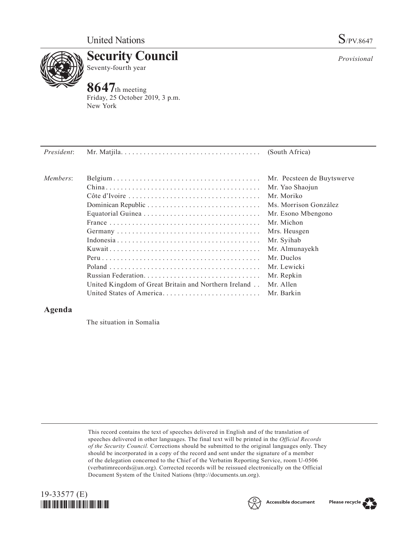

**Security Council** Seventy-fourth year

## **8647**th meeting

Friday, 25 October 2019, 3 p.m. New York

| President: |                                                      | (South Africa)             |
|------------|------------------------------------------------------|----------------------------|
| Members:   |                                                      | Mr. Pecsteen de Buytswerve |
|            |                                                      | Mr. Yao Shaojun            |
|            |                                                      | Mr. Moriko                 |
|            |                                                      | Ms. Morrison González      |
|            |                                                      | Mr. Esono Mbengono         |
|            |                                                      | Mr. Michon                 |
|            |                                                      | Mrs. Heusgen               |
|            |                                                      | Mr. Syihab                 |
|            |                                                      | Mr. Almunayekh             |
|            |                                                      | Mr. Duclos                 |
|            |                                                      | Mr. Lewicki                |
|            |                                                      | Mr. Repkin                 |
|            | United Kingdom of Great Britain and Northern Ireland | Mr. Allen                  |
|            | United States of America                             | Mr. Barkin                 |

## **Agenda**

The situation in Somalia

This record contains the text of speeches delivered in English and of the translation of speeches delivered in other languages. The final text will be printed in the *Official Records of the Security Council.* Corrections should be submitted to the original languages only. They should be incorporated in a copy of the record and sent under the signature of a member of the delegation concerned to the Chief of the Verbatim Reporting Service, room U-0506 (verbatimrecords $@un.org$ ). Corrected records will be reissued electronically on the Official Document System of the United Nations (http://documents.un.org).







*Provisional*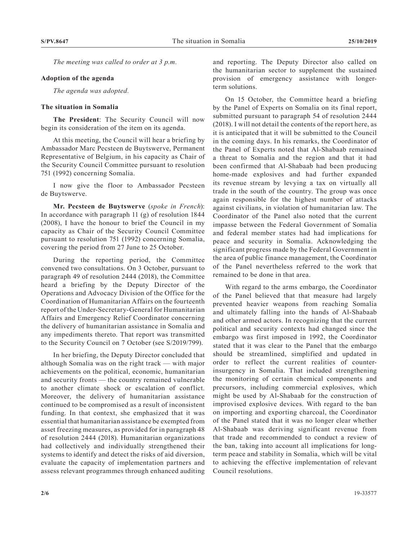*The meeting was called to order at 3 p.m.*

## **Adoption of the agenda**

*The agenda was adopted.*

## **The situation in Somalia**

**The President**: The Security Council will now begin its consideration of the item on its agenda.

At this meeting, the Council will hear a briefing by Ambassador Marc Pecsteen de Buytswerve, Permanent Representative of Belgium, in his capacity as Chair of the Security Council Committee pursuant to resolution 751 (1992) concerning Somalia.

I now give the floor to Ambassador Pecsteen de Buytswerve.

**Mr. Pecsteen de Buytswerve** (*spoke in French*): In accordance with paragraph 11 (g) of resolution 1844 (2008), I have the honour to brief the Council in my capacity as Chair of the Security Council Committee pursuant to resolution 751 (1992) concerning Somalia, covering the period from 27 June to 25 October.

During the reporting period, the Committee convened two consultations. On 3 October, pursuant to paragraph 49 of resolution 2444 (2018), the Committee heard a briefing by the Deputy Director of the Operations and Advocacy Division of the Office for the Coordination of Humanitarian Affairs on the fourteenth report of the Under-Secretary-General for Humanitarian Affairs and Emergency Relief Coordinator concerning the delivery of humanitarian assistance in Somalia and any impediments thereto. That report was transmitted to the Security Council on 7 October (see S/2019/799).

In her briefing, the Deputy Director concluded that although Somalia was on the right track — with major achievements on the political, economic, humanitarian and security fronts — the country remained vulnerable to another climate shock or escalation of conflict. Moreover, the delivery of humanitarian assistance continued to be compromised as a result of inconsistent funding. In that context, she emphasized that it was essential that humanitarian assistance be exempted from asset freezing measures, as provided for in paragraph 48 of resolution 2444 (2018). Humanitarian organizations had collectively and individually strengthened their systems to identify and detect the risks of aid diversion, evaluate the capacity of implementation partners and assess relevant programmes through enhanced auditing

and reporting. The Deputy Director also called on the humanitarian sector to supplement the sustained provision of emergency assistance with longerterm solutions.

On 15 October, the Committee heard a briefing by the Panel of Experts on Somalia on its final report, submitted pursuant to paragraph 54 of resolution 2444 (2018). I will not detail the contents of the report here, as it is anticipated that it will be submitted to the Council in the coming days. In his remarks, the Coordinator of the Panel of Experts noted that Al-Shabaab remained a threat to Somalia and the region and that it had been confirmed that Al-Shabaab had been producing home-made explosives and had further expanded its revenue stream by levying a tax on virtually all trade in the south of the country. The group was once again responsible for the highest number of attacks against civilians, in violation of humanitarian law. The Coordinator of the Panel also noted that the current impasse between the Federal Government of Somalia and federal member states had had implications for peace and security in Somalia. Acknowledging the significant progress made by the Federal Government in the area of public finance management, the Coordinator of the Panel nevertheless referred to the work that remained to be done in that area.

With regard to the arms embargo, the Coordinator of the Panel believed that that measure had largely prevented heavier weapons from reaching Somalia and ultimately falling into the hands of Al-Shabaab and other armed actors. In recognizing that the current political and security contexts had changed since the embargo was first imposed in 1992, the Coordinator stated that it was clear to the Panel that the embargo should be streamlined, simplified and updated in order to reflect the current realities of counterinsurgency in Somalia. That included strengthening the monitoring of certain chemical components and precursors, including commercial explosives, which might be used by Al-Shabaab for the construction of improvised explosive devices. With regard to the ban on importing and exporting charcoal, the Coordinator of the Panel stated that it was no longer clear whether Al-Shabaab was deriving significant revenue from that trade and recommended to conduct a review of the ban, taking into account all implications for longterm peace and stability in Somalia, which will be vital to achieving the effective implementation of relevant Council resolutions.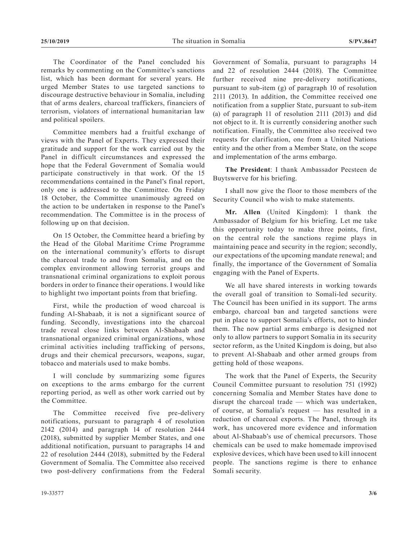The Coordinator of the Panel concluded his remarks by commenting on the Committee's sanctions list, which has been dormant for several years. He urged Member States to use targeted sanctions to discourage destructive behaviour in Somalia, including that of arms dealers, charcoal traffickers, financiers of terrorism, violators of international humanitarian law and political spoilers.

Committee members had a fruitful exchange of views with the Panel of Experts. They expressed their gratitude and support for the work carried out by the Panel in difficult circumstances and expressed the hope that the Federal Government of Somalia would participate constructively in that work. Of the 15 recommendations contained in the Panel's final report, only one is addressed to the Committee. On Friday 18 October, the Committee unanimously agreed on the action to be undertaken in response to the Panel's recommendation. The Committee is in the process of following up on that decision.

On 15 October, the Committee heard a briefing by the Head of the Global Maritime Crime Programme on the international community's efforts to disrupt the charcoal trade to and from Somalia, and on the complex environment allowing terrorist groups and transnational criminal organizations to exploit porous borders in order to finance their operations. I would like to highlight two important points from that briefing.

First, while the production of wood charcoal is funding Al-Shabaab, it is not a significant source of funding. Secondly, investigations into the charcoal trade reveal close links between Al-Shabaab and transnational organized criminal organizations, whose criminal activities including trafficking of persons, drugs and their chemical precursors, weapons, sugar, tobacco and materials used to make bombs.

I will conclude by summarizing some figures on exceptions to the arms embargo for the current reporting period, as well as other work carried out by the Committee.

The Committee received five pre-delivery notifications, pursuant to paragraph 4 of resolution 2142 (2014) and paragraph 14 of resolution 2444 (2018), submitted by supplier Member States, and one additional notification, pursuant to paragraphs 14 and 22 of resolution 2444 (2018), submitted by the Federal Government of Somalia. The Committee also received two post-delivery confirmations from the Federal Government of Somalia, pursuant to paragraphs 14 and 22 of resolution 2444 (2018). The Committee further received nine pre-delivery notifications, pursuant to sub-item (g) of paragraph 10 of resolution 2111 (2013). In addition, the Committee received one notification from a supplier State, pursuant to sub-item (a) of paragraph 11 of resolution 2111 (2013) and did not object to it. It is currently considering another such notification. Finally, the Committee also received two requests for clarification, one from a United Nations entity and the other from a Member State, on the scope and implementation of the arms embargo.

**The President**: I thank Ambassador Pecsteen de Buytswerve for his briefing.

I shall now give the floor to those members of the Security Council who wish to make statements.

**Mr. Allen** (United Kingdom): I thank the Ambassador of Belgium for his briefing. Let me take this opportunity today to make three points, first, on the central role the sanctions regime plays in maintaining peace and security in the region; secondly, our expectations of the upcoming mandate renewal; and finally, the importance of the Government of Somalia engaging with the Panel of Experts.

We all have shared interests in working towards the overall goal of transition to Somali-led security. The Council has been unified in its support. The arms embargo, charcoal ban and targeted sanctions were put in place to support Somalia's efforts, not to hinder them. The now partial arms embargo is designed not only to allow partners to support Somalia in its security sector reform, as the United Kingdom is doing, but also to prevent Al-Shabaab and other armed groups from getting hold of those weapons.

The work that the Panel of Experts, the Security Council Committee pursuant to resolution 751 (1992) concerning Somalia and Member States have done to disrupt the charcoal trade — which was undertaken, of course, at Somalia's request — has resulted in a reduction of charcoal exports. The Panel, through its work, has uncovered more evidence and information about Al-Shabaab's use of chemical precursors. Those chemicals can be used to make homemade improvised explosive devices, which have been used to kill innocent people. The sanctions regime is there to enhance Somali security.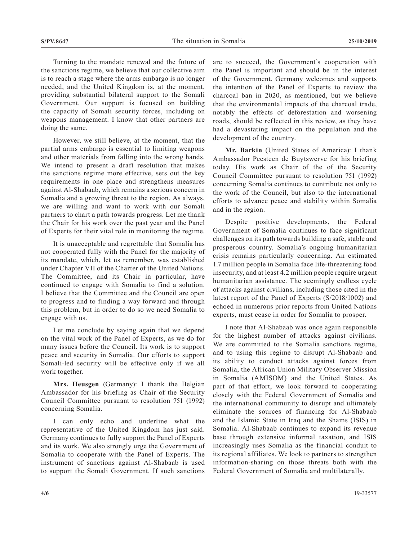Turning to the mandate renewal and the future of the sanctions regime, we believe that our collective aim is to reach a stage where the arms embargo is no longer needed, and the United Kingdom is, at the moment, providing substantial bilateral support to the Somali Government. Our support is focused on building the capacity of Somali security forces, including on weapons management. I know that other partners are doing the same.

However, we still believe, at the moment, that the partial arms embargo is essential to limiting weapons and other materials from falling into the wrong hands. We intend to present a draft resolution that makes the sanctions regime more effective, sets out the key requirements in one place and strengthens measures against Al-Shabaab, which remains a serious concern in Somalia and a growing threat to the region. As always, we are willing and want to work with our Somali partners to chart a path towards progress. Let me thank the Chair for his work over the past year and the Panel of Experts for their vital role in monitoring the regime.

It is unacceptable and regrettable that Somalia has not cooperated fully with the Panel for the majority of its mandate, which, let us remember, was established under Chapter VII of the Charter of the United Nations. The Committee, and its Chair in particular, have continued to engage with Somalia to find a solution. I believe that the Committee and the Council are open to progress and to finding a way forward and through this problem, but in order to do so we need Somalia to engage with us.

Let me conclude by saying again that we depend on the vital work of the Panel of Experts, as we do for many issues before the Council. Its work is to support peace and security in Somalia. Our efforts to support Somali-led security will be effective only if we all work together.

**Mrs. Heusgen** (Germany): I thank the Belgian Ambassador for his briefing as Chair of the Security Council Committee pursuant to resolution 751 (1992) concerning Somalia.

I can only echo and underline what the representative of the United Kingdom has just said. Germany continues to fully support the Panel of Experts and its work. We also strongly urge the Government of Somalia to cooperate with the Panel of Experts. The instrument of sanctions against Al-Shabaab is used to support the Somali Government. If such sanctions

are to succeed, the Government's cooperation with the Panel is important and should be in the interest of the Government. Germany welcomes and supports the intention of the Panel of Experts to review the charcoal ban in 2020, as mentioned, but we believe that the environmental impacts of the charcoal trade, notably the effects of deforestation and worsening roads, should be reflected in this review, as they have had a devastating impact on the population and the development of the country.

**Mr. Barkin** (United States of America): I thank Ambassador Pecsteen de Buytswerve for his briefing today. His work as Chair of the of the Security Council Committee pursuant to resolution 751 (1992) concerning Somalia continues to contribute not only to the work of the Council, but also to the international efforts to advance peace and stability within Somalia and in the region.

Despite positive developments, the Federal Government of Somalia continues to face significant challenges on its path towards building a safe, stable and prosperous country. Somalia's ongoing humanitarian crisis remains particularly concerning. An estimated 1.7 million people in Somalia face life-threatening food insecurity, and at least 4.2 million people require urgent humanitarian assistance. The seemingly endless cycle of attacks against civilians, including those cited in the latest report of the Panel of Experts (S/2018/1002) and echoed in numerous prior reports from United Nations experts, must cease in order for Somalia to prosper.

I note that Al-Shabaab was once again responsible for the highest number of attacks against civilians. We are committed to the Somalia sanctions regime, and to using this regime to disrupt Al-Shabaab and its ability to conduct attacks against forces from Somalia, the African Union Military Observer Mission in Somalia (AMISOM) and the United States. As part of that effort, we look forward to cooperating closely with the Federal Government of Somalia and the international community to disrupt and ultimately eliminate the sources of financing for Al-Shabaab and the Islamic State in Iraq and the Shams (ISIS) in Somalia. Al-Shabaab continues to expand its revenue base through extensive informal taxation, and ISIS increasingly uses Somalia as the financial conduit to its regional affiliates. We look to partners to strengthen information-sharing on those threats both with the Federal Government of Somalia and multilaterally.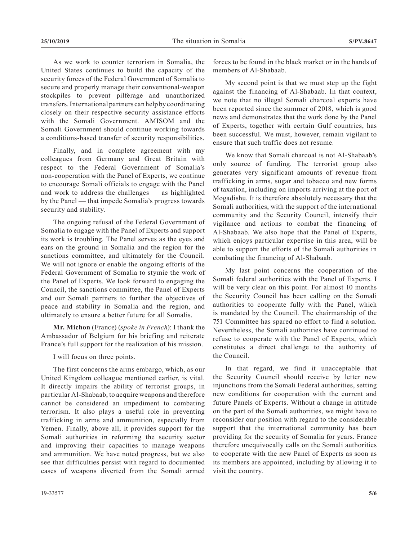As we work to counter terrorism in Somalia, the United States continues to build the capacity of the security forces of the Federal Government of Somalia to secure and properly manage their conventional-weapon stockpiles to prevent pilferage and unauthorized transfers. International partners can help by coordinating closely on their respective security assistance efforts with the Somali Government. AMISOM and the Somali Government should continue working towards a conditions-based transfer of security responsibilities.

Finally, and in complete agreement with my colleagues from Germany and Great Britain with respect to the Federal Government of Somalia's non-cooperation with the Panel of Experts, we continue to encourage Somali officials to engage with the Panel and work to address the challenges — as highlighted by the Panel — that impede Somalia's progress towards security and stability.

The ongoing refusal of the Federal Government of Somalia to engage with the Panel of Experts and support its work is troubling. The Panel serves as the eyes and ears on the ground in Somalia and the region for the sanctions committee, and ultimately for the Council. We will not ignore or enable the ongoing efforts of the Federal Government of Somalia to stymie the work of the Panel of Experts. We look forward to engaging the Council, the sanctions committee, the Panel of Experts and our Somali partners to further the objectives of peace and stability in Somalia and the region, and ultimately to ensure a better future for all Somalis.

**Mr. Michon** (France) (*spoke in French*): I thank the Ambassador of Belgium for his briefing and reiterate France's full support for the realization of his mission.

I will focus on three points.

The first concerns the arms embargo, which, as our United Kingdom colleague mentioned earlier, is vital. It directly impairs the ability of terrorist groups, in particular Al-Shabaab, to acquire weapons and therefore cannot be considered an impediment to combating terrorism. It also plays a useful role in preventing trafficking in arms and ammunition, especially from Yemen. Finally, above all, it provides support for the Somali authorities in reforming the security sector and improving their capacities to manage weapons and ammunition. We have noted progress, but we also see that difficulties persist with regard to documented cases of weapons diverted from the Somali armed

My second point is that we must step up the fight against the financing of Al-Shabaab. In that context, we note that no illegal Somali charcoal exports have been reported since the summer of 2018, which is good news and demonstrates that the work done by the Panel of Experts, together with certain Gulf countries, has been successful. We must, however, remain vigilant to ensure that such traffic does not resume.

We know that Somali charcoal is not Al-Shabaab's only source of funding. The terrorist group also generates very significant amounts of revenue from trafficking in arms, sugar and tobacco and new forms of taxation, including on imports arriving at the port of Mogadishu. It is therefore absolutely necessary that the Somali authorities, with the support of the international community and the Security Council, intensify their vigilance and actions to combat the financing of Al-Shabaab. We also hope that the Panel of Experts, which enjoys particular expertise in this area, will be able to support the efforts of the Somali authorities in combating the financing of Al-Shabaab.

My last point concerns the cooperation of the Somali federal authorities with the Panel of Experts. I will be very clear on this point. For almost 10 months the Security Council has been calling on the Somali authorities to cooperate fully with the Panel, which is mandated by the Council. The chairmanship of the 751 Committee has spared no effort to find a solution. Nevertheless, the Somali authorities have continued to refuse to cooperate with the Panel of Experts, which constitutes a direct challenge to the authority of the Council.

In that regard, we find it unacceptable that the Security Council should receive by letter new injunctions from the Somali Federal authorities, setting new conditions for cooperation with the current and future Panels of Experts. Without a change in attitude on the part of the Somali authorities, we might have to reconsider our position with regard to the considerable support that the international community has been providing for the security of Somalia for years. France therefore unequivocally calls on the Somali authorities to cooperate with the new Panel of Experts as soon as its members are appointed, including by allowing it to visit the country.